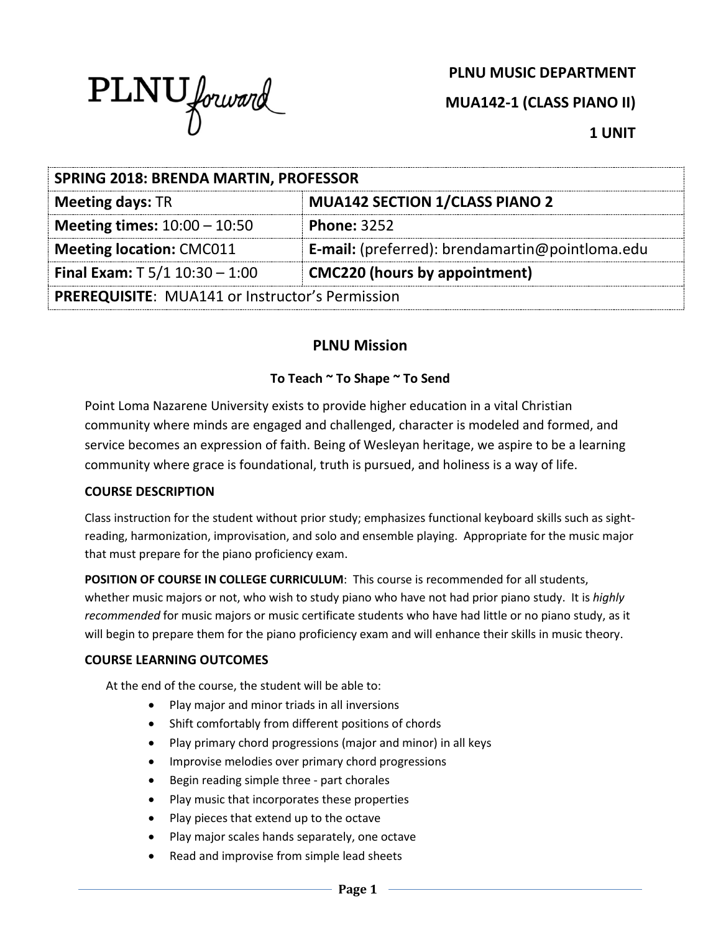

# **PLNU MUSIC DEPARTMENT**

**MUA142-1 (CLASS PIANO II)**

**1 UNIT**

| <b>SPRING 2018: BRENDA MARTIN, PROFESSOR</b>           |                                                        |  |
|--------------------------------------------------------|--------------------------------------------------------|--|
| <b>Meeting days: TR</b>                                | <b>MUA142 SECTION 1/CLASS PIANO 2</b>                  |  |
| <b>Meeting times:</b> $10:00 - 10:50$                  | <b>Phone: 3252</b>                                     |  |
| <b>Meeting location: CMC011</b>                        | <b>E-mail:</b> (preferred): brendamartin@pointloma.edu |  |
| Final Exam: $T$ 5/1 10:30 - 1:00                       | <b>CMC220 (hours by appointment)</b>                   |  |
| <b>PREREQUISITE: MUA141 or Instructor's Permission</b> |                                                        |  |

# **PLNU Mission**

# **To Teach ~ To Shape ~ To Send**

Point Loma Nazarene University exists to provide higher education in a vital Christian community where minds are engaged and challenged, character is modeled and formed, and service becomes an expression of faith. Being of Wesleyan heritage, we aspire to be a learning community where grace is foundational, truth is pursued, and holiness is a way of life.

#### **COURSE DESCRIPTION**

Class instruction for the student without prior study; emphasizes functional keyboard skills such as sightreading, harmonization, improvisation, and solo and ensemble playing. Appropriate for the music major that must prepare for the piano proficiency exam.

**POSITION OF COURSE IN COLLEGE CURRICULUM**: This course is recommended for all students, whether music majors or not, who wish to study piano who have not had prior piano study. It is *highly recommended* for music majors or music certificate students who have had little or no piano study, as it will begin to prepare them for the piano proficiency exam and will enhance their skills in music theory.

#### **COURSE LEARNING OUTCOMES**

At the end of the course, the student will be able to:

- Play major and minor triads in all inversions
- Shift comfortably from different positions of chords
- Play primary chord progressions (major and minor) in all keys
- Improvise melodies over primary chord progressions
- Begin reading simple three part chorales
- Play music that incorporates these properties
- Play pieces that extend up to the octave
- Play major scales hands separately, one octave
- Read and improvise from simple lead sheets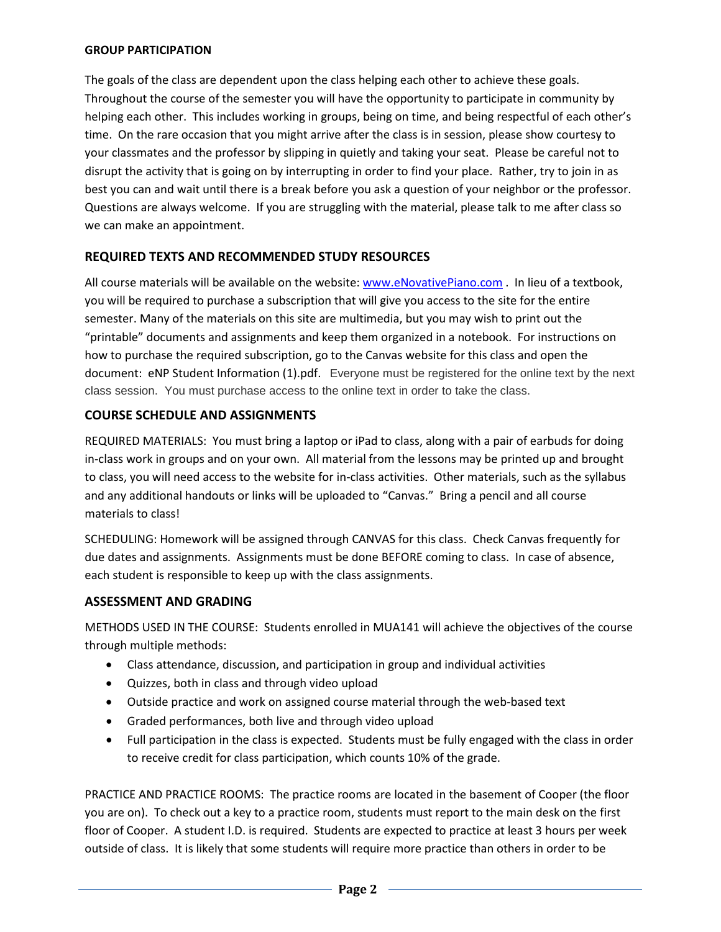#### **GROUP PARTICIPATION**

The goals of the class are dependent upon the class helping each other to achieve these goals. Throughout the course of the semester you will have the opportunity to participate in community by helping each other. This includes working in groups, being on time, and being respectful of each other's time. On the rare occasion that you might arrive after the class is in session, please show courtesy to your classmates and the professor by slipping in quietly and taking your seat. Please be careful not to disrupt the activity that is going on by interrupting in order to find your place. Rather, try to join in as best you can and wait until there is a break before you ask a question of your neighbor or the professor. Questions are always welcome. If you are struggling with the material, please talk to me after class so we can make an appointment.

### **REQUIRED TEXTS AND RECOMMENDED STUDY RESOURCES**

All course materials will be available on the website: [www.eNovativePiano.com](http://www.enovativepiano.com/) . In lieu of a textbook, you will be required to purchase a subscription that will give you access to the site for the entire semester. Many of the materials on this site are multimedia, but you may wish to print out the "printable" documents and assignments and keep them organized in a notebook. For instructions on how to purchase the required subscription, go to the Canvas website for this class and open the document: eNP Student Information (1).pdf. Everyone must be registered for the online text by the next class session. You must purchase access to the online text in order to take the class.

### **COURSE SCHEDULE AND ASSIGNMENTS**

REQUIRED MATERIALS: You must bring a laptop or iPad to class, along with a pair of earbuds for doing in-class work in groups and on your own. All material from the lessons may be printed up and brought to class, you will need access to the website for in-class activities. Other materials, such as the syllabus and any additional handouts or links will be uploaded to "Canvas." Bring a pencil and all course materials to class!

SCHEDULING: Homework will be assigned through CANVAS for this class. Check Canvas frequently for due dates and assignments. Assignments must be done BEFORE coming to class. In case of absence, each student is responsible to keep up with the class assignments.

#### **ASSESSMENT AND GRADING**

METHODS USED IN THE COURSE: Students enrolled in MUA141 will achieve the objectives of the course through multiple methods:

- Class attendance, discussion, and participation in group and individual activities
- Quizzes, both in class and through video upload
- Outside practice and work on assigned course material through the web-based text
- Graded performances, both live and through video upload
- Full participation in the class is expected. Students must be fully engaged with the class in order to receive credit for class participation, which counts 10% of the grade.

PRACTICE AND PRACTICE ROOMS: The practice rooms are located in the basement of Cooper (the floor you are on). To check out a key to a practice room, students must report to the main desk on the first floor of Cooper. A student I.D. is required. Students are expected to practice at least 3 hours per week outside of class. It is likely that some students will require more practice than others in order to be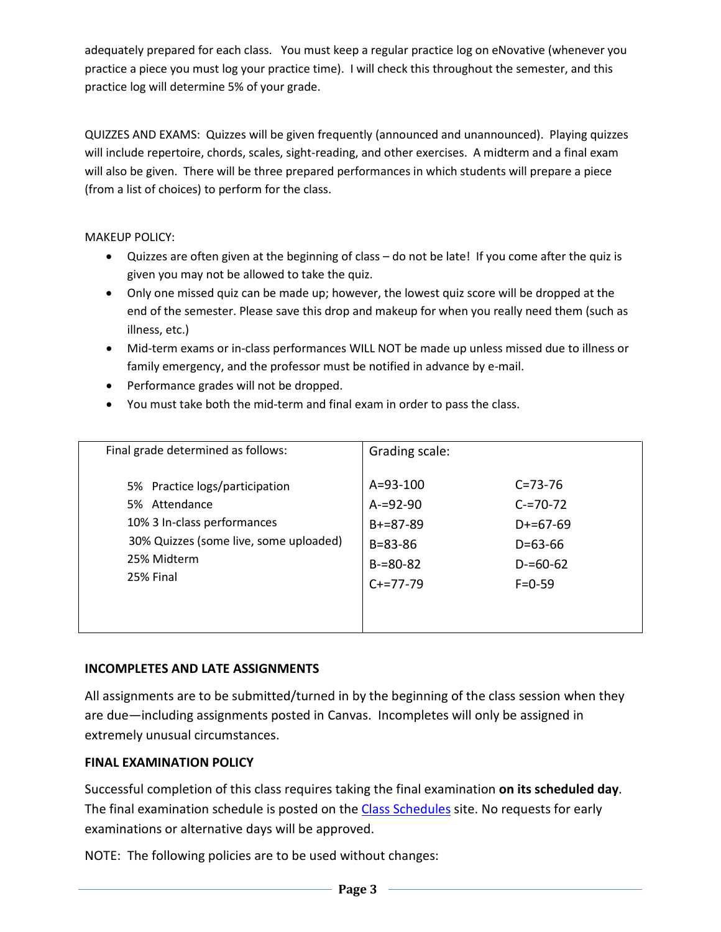adequately prepared for each class. You must keep a regular practice log on eNovative (whenever you practice a piece you must log your practice time). I will check this throughout the semester, and this practice log will determine 5% of your grade.

QUIZZES AND EXAMS: Quizzes will be given frequently (announced and unannounced). Playing quizzes will include repertoire, chords, scales, sight-reading, and other exercises. A midterm and a final exam will also be given. There will be three prepared performances in which students will prepare a piece (from a list of choices) to perform for the class.

MAKEUP POLICY:

- Quizzes are often given at the beginning of class do not be late! If you come after the quiz is given you may not be allowed to take the quiz.
- Only one missed quiz can be made up; however, the lowest quiz score will be dropped at the end of the semester. Please save this drop and makeup for when you really need them (such as illness, etc.)
- Mid-term exams or in-class performances WILL NOT be made up unless missed due to illness or family emergency, and the professor must be notified in advance by e-mail.
- Performance grades will not be dropped.
- You must take both the mid-term and final exam in order to pass the class.

| Final grade determined as follows:     | Grading scale: |               |
|----------------------------------------|----------------|---------------|
| 5% Practice logs/participation         | A=93-100       | $C = 73 - 76$ |
| 5% Attendance                          | $A = 92 - 90$  | $C = 70 - 72$ |
| 10% 3 In-class performances            | $B+=87-89$     | $D+=67-69$    |
| 30% Quizzes (some live, some uploaded) | $B = 83 - 86$  | $D=63-66$     |
| 25% Midterm                            | $B = 80 - 82$  | $D = 60 - 62$ |
| 25% Final                              | $C+=77-79$     | $F = 0 - 59$  |

# **INCOMPLETES AND LATE ASSIGNMENTS**

All assignments are to be submitted/turned in by the beginning of the class session when they are due—including assignments posted in Canvas. Incompletes will only be assigned in extremely unusual circumstances.

# **FINAL EXAMINATION POLICY**

Successful completion of this class requires taking the final examination **on its scheduled day**. The final examination schedule is posted on the [Class Schedules](http://www.pointloma.edu/experience/academics/class-schedules) site. No requests for early examinations or alternative days will be approved.

NOTE: The following policies are to be used without changes: